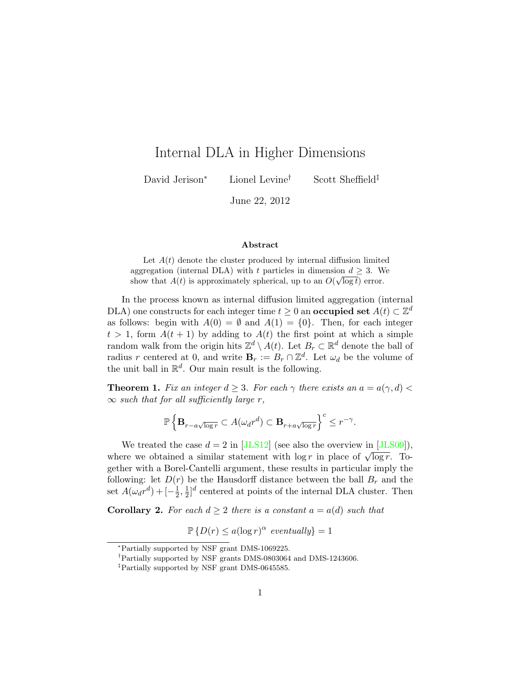# Internal DLA in Higher Dimensions

David Jerison<sup>∗</sup> Lionel Levine† Scott Sheffield‡

June 22, 2012

#### Abstract

Let  $A(t)$  denote the cluster produced by internal diffusion limited aggregation (internal DLA) with t particles in dimension  $d \geq 3$ . We show that  $A(t)$  is approximately spherical, up to an  $O(\sqrt{\log t})$  error.

In the process known as internal diffusion limited aggregation (internal DLA) one constructs for each integer time  $t \geq 0$  an **occupied set**  $A(t) \subset \mathbb{Z}^d$ as follows: begin with  $A(0) = \emptyset$  and  $A(1) = \{0\}$ . Then, for each integer  $t > 1$ , form  $A(t + 1)$  by adding to  $A(t)$  the first point at which a simple random walk from the origin hits  $\mathbb{Z}^d \setminus A(t)$ . Let  $B_r \subset \mathbb{R}^d$  denote the ball of radius r centered at 0, and write  $\mathbf{B}_r := B_r \cap \mathbb{Z}^d$ . Let  $\omega_d$  be the volume of the unit ball in  $\mathbb{R}^d$ . Our main result is the following.

<span id="page-0-0"></span>**Theorem 1.** Fix an integer  $d \geq 3$ . For each  $\gamma$  there exists an  $a = a(\gamma, d)$  $\infty$  such that for all sufficiently large r,

$$
\mathbb{P}\left\{\mathbf{B}_{r-a\sqrt{\log r}}\subset A(\omega_d r^d)\subset \mathbf{B}_{r+a\sqrt{\log r}}\right\}^c\leq r^{-\gamma}.
$$

We treated the case  $d = 2$  in [\[JLS12\]](#page-18-0) (see also the overview in [\[JLS09\]](#page-18-1)), we treated the case  $a = 2$  in  $\lfloor 3 \ln 512 \rfloor$  (see also the overview in  $\lfloor 3 \ln 509 \rfloor$ ),<br>where we obtained a similar statement with  $\log r$  in place of  $\sqrt{\log r}$ . Together with a Borel-Cantelli argument, these results in particular imply the following: let  $D(r)$  be the Hausdorff distance between the ball  $B<sub>r</sub>$  and the set  $A(\omega_d r^d) + [-\frac{1}{2}]$  $\frac{1}{2}, \frac{1}{2}$  $\frac{1}{2}$ <sup>d</sup> centered at points of the internal DLA cluster. Then

**Corollary 2.** For each  $d \geq 2$  there is a constant  $a = a(d)$  such that

$$
\mathbb{P}\left\{D(r) \le a(\log r)^\alpha \text{ eventually}\right\} = 1
$$

<sup>∗</sup>Partially supported by NSF grant DMS-1069225.

<sup>†</sup>Partially supported by NSF grants DMS-0803064 and DMS-1243606.

<sup>‡</sup>Partially supported by NSF grant DMS-0645585.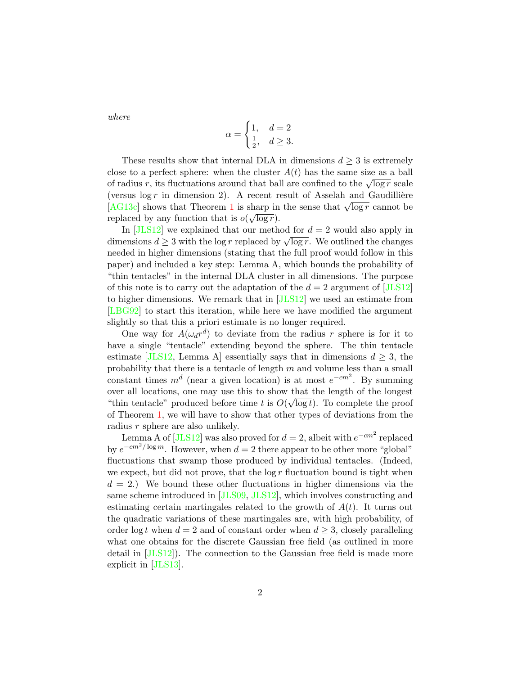where

$$
\alpha = \begin{cases} 1, & d = 2 \\ \frac{1}{2}, & d \ge 3. \end{cases}
$$

These results show that internal DLA in dimensions  $d \geq 3$  is extremely close to a perfect sphere: when the cluster  $A(t)$  has the same size as a ball from a perfect sphere. When the cluster  $A(t)$  has the same size as a ball of radius r, its fluctuations around that ball are confined to the  $\sqrt{\log r}$  scale (versus  $\log r$  in dimension 2). A recent result of Asselah and Gaudillière (versus log r in dimension 2). A recent result of Assetant and Gaudimere<br>[\[AG13c\]](#page-18-2) shows that Theorem [1](#page-0-0) is sharp in the sense that  $\sqrt{\log r}$  cannot be replaced by any function that is  $o(\sqrt{\log r})$ .

In  $[JLS12]$  we explained that our method for  $d = 2$  would also apply in In [JES12] we explained that our method for  $a = 2$  would also apply in<br>dimensions  $d \ge 3$  with the log r replaced by  $\sqrt{\log r}$ . We outlined the changes needed in higher dimensions (stating that the full proof would follow in this paper) and included a key step: Lemma A, which bounds the probability of "thin tentacles" in the internal DLA cluster in all dimensions. The purpose of this note is to carry out the adaptation of the  $d = 2$  argument of [\[JLS12\]](#page-18-0) to higher dimensions. We remark that in [\[JLS12\]](#page-18-0) we used an estimate from [\[LBG92\]](#page-19-0) to start this iteration, while here we have modified the argument slightly so that this a priori estimate is no longer required.

One way for  $A(\omega_d r^d)$  to deviate from the radius r sphere is for it to have a single "tentacle" extending beyond the sphere. The thin tentacle estimate [\[JLS12,](#page-18-0) Lemma A] essentially says that in dimensions  $d \geq 3$ , the probability that there is a tentacle of length  $m$  and volume less than a small constant times  $m^d$  (near a given location) is at most  $e^{-cm^2}$ . By summing over all locations, one may use this to show that the length of the longest "thin tentacle" produced before time t is  $O(\sqrt{\log t})$ . To complete the proof of Theorem [1,](#page-0-0) we will have to show that other types of deviations from the radius r sphere are also unlikely.

Lemma A of [\[JLS12\]](#page-18-0) was also proved for  $d = 2$ , albeit with  $e^{-cm^2}$  replaced by  $e^{-cm^2/\log m}$ . However, when  $d=2$  there appear to be other more "global" fluctuations that swamp those produced by individual tentacles. (Indeed, we expect, but did not prove, that the  $\log r$  fluctuation bound is tight when  $d = 2$ .) We bound these other fluctuations in higher dimensions via the same scheme introduced in [\[JLS09,](#page-18-1) [JLS12\]](#page-18-0), which involves constructing and estimating certain martingales related to the growth of  $A(t)$ . It turns out the quadratic variations of these martingales are, with high probability, of order log t when  $d = 2$  and of constant order when  $d \geq 3$ , closely paralleling what one obtains for the discrete Gaussian free field (as outlined in more detail in [\[JLS12\]](#page-18-0)). The connection to the Gaussian free field is made more explicit in [\[JLS13\]](#page-19-1).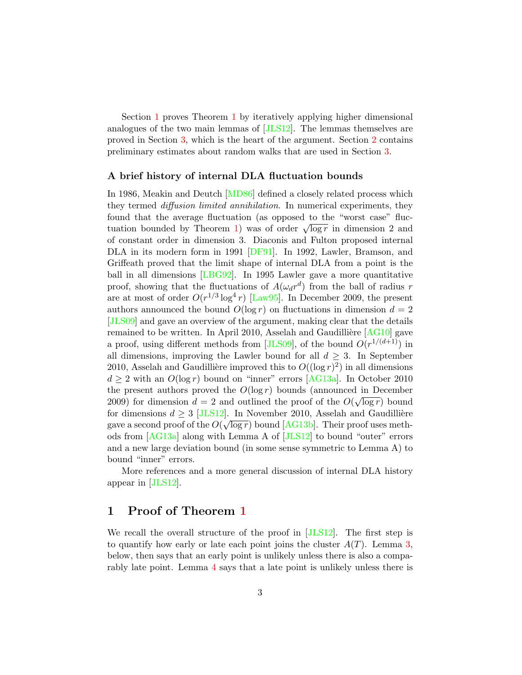Section [1](#page-0-0) proves Theorem 1 by iteratively applying higher dimensional analogues of the two main lemmas of [\[JLS12\]](#page-18-0). The lemmas themselves are proved in Section [3,](#page-13-0) which is the heart of the argument. Section [2](#page-5-0) contains preliminary estimates about random walks that are used in Section [3.](#page-13-0)

#### A brief history of internal DLA fluctuation bounds

In 1986, Meakin and Deutch [\[MD86\]](#page-19-2) defined a closely related process which they termed *diffusion limited annihilation*. In numerical experiments, they found that the average fluctuation (as opposed to the "worst case" fluc-from that the average intertuation (as opposed to the worst case intertuation bounded by Theorem [1\)](#page-0-0) was of order  $\sqrt{\log r}$  in dimension 2 and of constant order in dimension 3. Diaconis and Fulton proposed internal DLA in its modern form in 1991 [\[DF91\]](#page-18-3). In 1992, Lawler, Bramson, and Griffeath proved that the limit shape of internal DLA from a point is the ball in all dimensions [\[LBG92\]](#page-19-0). In 1995 Lawler gave a more quantitative proof, showing that the fluctuations of  $A(\omega_d r^d)$  from the ball of radius r are at most of order  $O(r^{1/3} \log^4 r)$  [\[Law95\]](#page-19-3). In December 2009, the present authors announced the bound  $O(\log r)$  on fluctuations in dimension  $d = 2$ [\[JLS09\]](#page-18-1) and gave an overview of the argument, making clear that the details remained to be written. In April 2010, Asselah and Gaudillière  $[AG10]$  gave a proof, using different methods from [\[JLS09\]](#page-18-1), of the bound  $O(r^{1/(d+1)})$  in all dimensions, improving the Lawler bound for all  $d \geq 3$ . In September 2010, Asselah and Gaudillière improved this to  $O((\log r)^2)$  in all dimensions  $d \geq 2$  with an  $O(\log r)$  bound on "inner" errors [\[AG13a\]](#page-18-5). In October 2010 the present authors proved the  $O(\log r)$  bounds (announced in December 2009) for dimension  $d = 2$  and outlined the proof of the  $O(\sqrt{\log r})$  bound for dimensions  $d \geq 3$  [\[JLS12\]](#page-18-0). In November 2010, Asselah and Gaudillière gave a second proof of the  $O(\sqrt{\log r})$  bound [\[AG13b\]](#page-18-6). Their proof uses methods from [\[AG13a\]](#page-18-5) along with Lemma A of [\[JLS12\]](#page-18-0) to bound "outer" errors and a new large deviation bound (in some sense symmetric to Lemma A) to bound "inner" errors.

More references and a more general discussion of internal DLA history appear in [\[JLS12\]](#page-18-0).

### <span id="page-2-0"></span>1 Proof of Theorem [1](#page-0-0)

We recall the overall structure of the proof in [\[JLS12\]](#page-18-0). The first step is to quantify how early or late each point joins the cluster  $A(T)$ . Lemma [3,](#page-4-0) below, then says that an early point is unlikely unless there is also a comparably late point. Lemma [4](#page-4-1) says that a late point is unlikely unless there is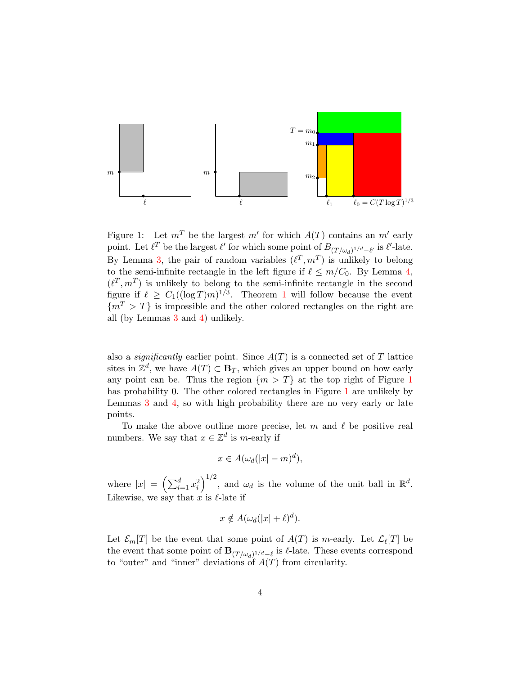

Figure 1: Let  $m^T$  be the largest  $m'$  for which  $A(T)$  contains an  $m'$  early point. Let  $\ell^T$  be the largest  $\ell'$  for which some point of  $B_{(T/\omega_d)^{1/d}-\ell'}$  is  $\ell'$ -late. By Lemma [3,](#page-4-0) the pair of random variables  $(\ell^T, m^T)$  is unlikely to belong to the semi-infinite rectangle in the left figure if  $\ell \leq m/C_0$ . By Lemma [4,](#page-4-1)  $(\ell^T, m^T)$  is unlikely to belong to the semi-infinite rectangle in the second figure if  $\ell \geq C_1((\log T)m)^{1/3}$  $\ell \geq C_1((\log T)m)^{1/3}$  $\ell \geq C_1((\log T)m)^{1/3}$ . Theorem 1 will follow because the event  ${m<sup>T</sup> > T}$  is impossible and the other colored rectangles on the right are all (by Lemmas [3](#page-4-0) and [4\)](#page-4-1) unlikely.

also a *significantly* earlier point. Since  $A(T)$  is a connected set of T lattice sites in  $\mathbb{Z}^d$ , we have  $A(T) \subset \mathbf{B}_T$ , which gives an upper bound on how early any point can be. Thus the region  $\{m > T\}$  at the top right of Figure [1](#page-2-0) has probability 0. The other colored rectangles in Figure [1](#page-2-0) are unlikely by Lemmas [3](#page-4-0) and [4,](#page-4-1) so with high probability there are no very early or late points.

To make the above outline more precise, let m and  $\ell$  be positive real numbers. We say that  $x \in \mathbb{Z}^d$  is m-early if

$$
x \in A(\omega_d(|x|-m)^d),
$$

where  $|x| = (\sum_{i=1}^d x_i^2)^{1/2}$ , and  $\omega_d$  is the volume of the unit ball in  $\mathbb{R}^d$ . Likewise, we say that x is  $\ell$ -late if

$$
x \notin A(\omega_d(|x|+\ell)^d).
$$

Let  $\mathcal{E}_m[T]$  be the event that some point of  $A(T)$  is m-early. Let  $\mathcal{L}_\ell[T]$  be the event that some point of  $\mathbf{B}_{(T/\omega_d)^{1/d}-\ell}$  is  $\ell$ -late. These events correspond to "outer" and "inner" deviations of  $A(T)$  from circularity.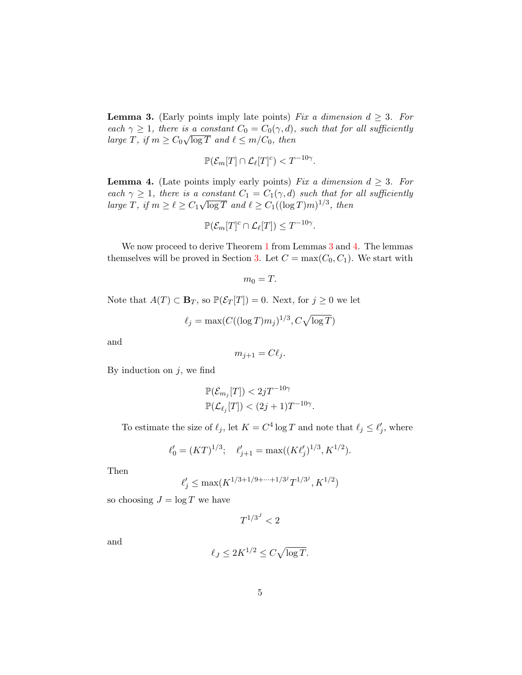<span id="page-4-0"></span>**Lemma 3.** (Early points imply late points) Fix a dimension  $d \geq 3$ . For each  $\gamma \geq 1$ , there is a constant  $C_0 = C_0(\gamma, d)$ , such that for all sufficiently large T, if  $m \geq C_0 \sqrt{\log T}$  and  $\ell \leq m/C_0$ , then

$$
\mathbb{P}(\mathcal{E}_m[T] \cap \mathcal{L}_{\ell}[T]^c) < T^{-10\gamma}.
$$

<span id="page-4-1"></span>**Lemma 4.** (Late points imply early points) Fix a dimension  $d \geq 3$ . For each  $\gamma \geq 1$ , there is a constant  $C_1 = C_1(\gamma, d)$  such that for all sufficiently large T, if  $m \geq \ell \geq C_1$ √  $\overline{\log T}$  and  $\ell \ge C_1((\log T)m)^{1/3}$ , then

$$
\mathbb{P}(\mathcal{E}_m[T]^c \cap \mathcal{L}_{\ell}[T]) \leq T^{-10\gamma}.
$$

We now proceed to derive Theorem [1](#page-0-0) from Lemmas [3](#page-4-0) and [4.](#page-4-1) The lemmas themselves will be proved in Section [3.](#page-13-0) Let  $C = \max(C_0, C_1)$ . We start with

$$
m_0=T.
$$

Note that  $A(T) \subset \mathbf{B}_T$ , so  $\mathbb{P}(\mathcal{E}_T[T]) = 0$ . Next, for  $j \geq 0$  we let

$$
\ell_j = \max(C((\log T)m_j)^{1/3}, C\sqrt{\log T})
$$

and

$$
m_{j+1}=C\ell_j.
$$

By induction on  $j$ , we find

$$
\mathbb{P}(\mathcal{E}_{m_j}[T]) < 2jT^{-10\gamma} \n\mathbb{P}(\mathcal{L}_{\ell_j}[T]) < (2j+1)T^{-10\gamma}.
$$

To estimate the size of  $\ell_j$ , let  $K = C^4 \log T$  and note that  $\ell_j \leq \ell'_j$ , where

$$
\ell'_0 = (KT)^{1/3}; \quad \ell'_{j+1} = \max((K\ell'_j)^{1/3}, K^{1/2}).
$$

Then

$$
\ell'_j \le \max(K^{1/3+1/9+\cdots+1/3^j}T^{1/3^j},K^{1/2})
$$

so choosing  $J = \log T$  we have

 $T^{1/3^J} < 2$ 

and

$$
\ell_J \le 2K^{1/2} \le C\sqrt{\log T}.
$$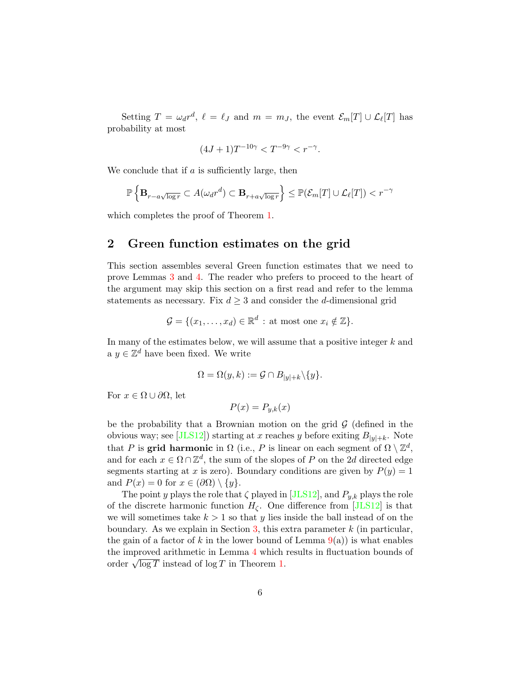Setting  $T = \omega_d r^d$ ,  $\ell = \ell_J$  and  $m = m_J$ , the event  $\mathcal{E}_m[T] \cup \mathcal{L}_\ell[T]$  has probability at most

$$
(4J+1)T^{-10\gamma} < T^{-9\gamma} < r^{-\gamma}.
$$

We conclude that if  $\alpha$  is sufficiently large, then

$$
\mathbb{P}\left\{\mathbf{B}_{r-a\sqrt{\log r}}\subset A(\omega_d r^d)\subset \mathbf{B}_{r+a\sqrt{\log r}}\right\}\leq \mathbb{P}(\mathcal{E}_m[T]\cup \mathcal{L}_\ell[T])
$$

which completes the proof of Theorem [1.](#page-0-0)

## <span id="page-5-0"></span>2 Green function estimates on the grid

This section assembles several Green function estimates that we need to prove Lemmas [3](#page-4-0) and [4.](#page-4-1) The reader who prefers to proceed to the heart of the argument may skip this section on a first read and refer to the lemma statements as necessary. Fix  $d \geq 3$  and consider the *d*-dimensional grid

$$
\mathcal{G} = \{ (x_1, \dots, x_d) \in \mathbb{R}^d : \text{at most one } x_i \notin \mathbb{Z} \}.
$$

In many of the estimates below, we will assume that a positive integer  $k$  and a  $y \in \mathbb{Z}^d$  have been fixed. We write

$$
\Omega = \Omega(y, k) := \mathcal{G} \cap B_{|y|+k} \backslash \{y\}.
$$

For  $x \in \Omega \cup \partial \Omega$ , let

$$
P(x) = P_{y,k}(x)
$$

be the probability that a Brownian motion on the grid  $\mathcal G$  (defined in the obvious way; see [\[JLS12\]](#page-18-0)) starting at x reaches y before exiting  $B_{|y|+k}$ . Note that P is grid harmonic in  $\Omega$  (i.e., P is linear on each segment of  $\Omega \setminus \mathbb{Z}^d$ , and for each  $x \in \Omega \cap \mathbb{Z}^d$ , the sum of the slopes of P on the 2d directed edge segments starting at x is zero). Boundary conditions are given by  $P(y) = 1$ and  $P(x) = 0$  for  $x \in (\partial \Omega) \setminus \{y\}.$ 

The point y plays the role that  $\zeta$  played in [\[JLS12\]](#page-18-0), and  $P_{y,k}$  plays the role of the discrete harmonic function  $H_{\zeta}$ . One difference from [\[JLS12\]](#page-18-0) is that we will sometimes take  $k > 1$  so that y lies inside the ball instead of on the boundary. As we explain in Section  $3$ , this extra parameter  $k$  (in particular, the gain of a factor of k in the lower bound of Lemma  $9(a)$  $9(a)$  is what enables the improved arithmetic in Lemma [4](#page-4-1) which results in fluctuation bounds of the improved arithmetic in Lemma 4 which<br>order  $\sqrt{\log T}$  instead of  $\log T$  in Theorem [1.](#page-0-0)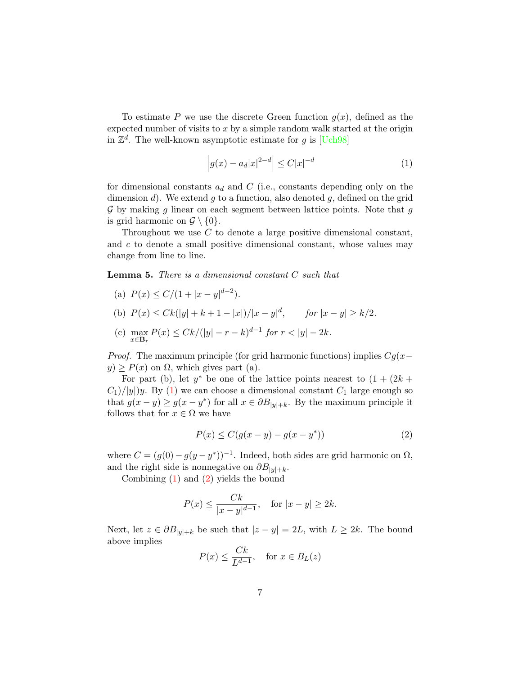To estimate P we use the discrete Green function  $g(x)$ , defined as the expected number of visits to  $x$  by a simple random walk started at the origin in  $\mathbb{Z}^d$ . The well-known asymptotic estimate for g is [\[Uch98\]](#page-19-4)

<span id="page-6-0"></span>
$$
\left| g(x) - a_d |x|^{2-d} \right| \le C|x|^{-d} \tag{1}
$$

for dimensional constants  $a_d$  and C (i.e., constants depending only on the dimension d). We extend q to a function, also denoted  $q$ , defined on the grid  $\mathcal G$  by making g linear on each segment between lattice points. Note that g is grid harmonic on  $\mathcal{G} \setminus \{0\}.$ 

Throughout we use C to denote a large positive dimensional constant, and c to denote a small positive dimensional constant, whose values may change from line to line.

<span id="page-6-2"></span>Lemma 5. There is a dimensional constant C such that

(a)  $P(x) \le C/(1+|x-y|^{d-2}).$ (b)  $P(x) \leq Ck(|y| + k + 1 - |x|)/|x - y|^d$ , for  $|x - y| \geq k/2$ . (c)  $\max P(x) \leq Ck/(|y| - r - k)^{d-1}$  for  $r < |y| - 2k$ .

*Proof.* The maximum principle (for grid harmonic functions) implies 
$$
Cg(x -
$$

 $y$ )  $\geq P(x)$  on  $\Omega$ , which gives part (a).

For part (b), let  $y^*$  be one of the lattice points nearest to  $(1 + (2k +$  $C_1$ //|y|)y. By [\(1\)](#page-6-0) we can choose a dimensional constant  $C_1$  large enough so that  $g(x - y) \ge g(x - y^*)$  for all  $x \in \partial B_{|y|+k}$ . By the maximum principle it follows that for  $x \in \Omega$  we have

<span id="page-6-1"></span>
$$
P(x) \le C(g(x - y) - g(x - y^*))
$$
 (2)

where  $C = (g(0) - g(y - y^*))^{-1}$ . Indeed, both sides are grid harmonic on  $\Omega$ , and the right side is nonnegative on  $\partial B_{|y|+k}$ .

Combining [\(1\)](#page-6-0) and [\(2\)](#page-6-1) yields the bound

$$
P(x) \le \frac{Ck}{|x-y|^{d-1}},
$$
 for  $|x-y| \ge 2k.$ 

Next, let  $z \in \partial B_{|y|+k}$  be such that  $|z-y|=2L$ , with  $L \geq 2k$ . The bound above implies

$$
P(x) \le \frac{Ck}{L^{d-1}}, \quad \text{for } x \in B_L(z)
$$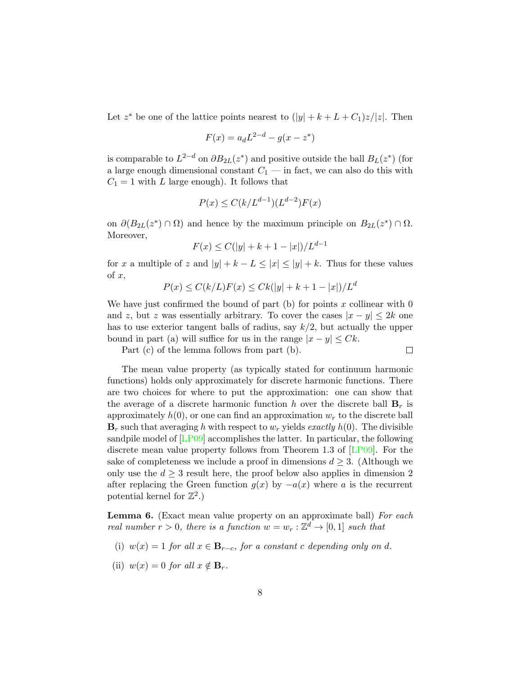Let  $z^*$  be one of the lattice points nearest to  $(|y| + k + L + C_1)z/|z|$ . Then

$$
F(x) = a_d L^{2-d} - g(x - z^*)
$$

is comparable to  $L^{2-d}$  on  $\partial B_{2L}(z^*)$  and positive outside the ball  $B_L(z^*)$  (for a large enough dimensional constant  $C_1$  — in fact, we can also do this with  $C_1 = 1$  with L large enough). It follows that

$$
P(x) \le C(k/L^{d-1})(L^{d-2})F(x)
$$

on  $\partial (B_{2L}(z^*) \cap \Omega)$  and hence by the maximum principle on  $B_{2L}(z^*) \cap \Omega$ . Moreover,

$$
F(x) \le C(|y| + k + 1 - |x|) / L^{d-1}
$$

for x a multiple of z and  $|y| + k - L \leq |x| \leq |y| + k$ . Thus for these values of  $x$ ,

$$
P(x) \le C(k/L)F(x) \le Ck(|y| + k + 1 - |x|)/L^d
$$

We have just confirmed the bound of part  $(b)$  for points x collinear with 0 and z, but z was essentially arbitrary. To cover the cases  $|x - y| \leq 2k$  one has to use exterior tangent balls of radius, say  $k/2$ , but actually the upper bound in part (a) will suffice for us in the range  $|x - y| \leq Ck$ .

Part (c) of the lemma follows from part (b).

$$
\Box
$$

The mean value property (as typically stated for continuum harmonic functions) holds only approximately for discrete harmonic functions. There are two choices for where to put the approximation: one can show that the average of a discrete harmonic function h over the discrete ball  $\mathbf{B}_r$  is approximately  $h(0)$ , or one can find an approximation  $w_r$  to the discrete ball  $\mathbf{B}_r$  such that averaging h with respect to  $w_r$  yields exactly  $h(0)$ . The divisible sandpile model of [\[LP09\]](#page-19-5) accomplishes the latter. In particular, the following discrete mean value property follows from Theorem 1.3 of [\[LP09\]](#page-19-5). For the sake of completeness we include a proof in dimensions  $d \geq 3$ . (Although we only use the  $d \geq 3$  result here, the proof below also applies in dimension 2 after replacing the Green function  $g(x)$  by  $-a(x)$  where a is the recurrent potential kernel for  $\mathbb{Z}^2$ .)

<span id="page-7-0"></span>Lemma 6. (Exact mean value property on an approximate ball) For each real number  $r > 0$ , there is a function  $w = w_r : \mathbb{Z}^d \to [0,1]$  such that

- (i)  $w(x) = 1$  for all  $x \in \mathbf{B}_{r-c}$ , for a constant c depending only on d.
- (ii)  $w(x) = 0$  for all  $x \notin \mathbf{B}_r$ .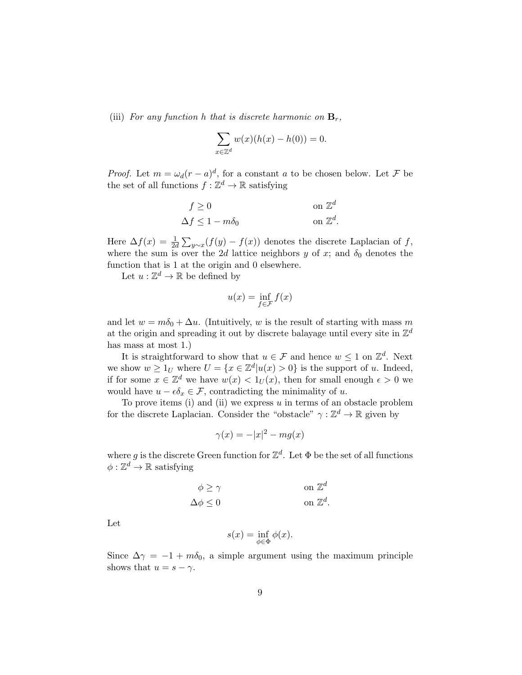(iii) For any function h that is discrete harmonic on  $\mathbf{B}_r$ ,

$$
\sum_{x \in \mathbb{Z}^d} w(x)(h(x) - h(0)) = 0.
$$

*Proof.* Let  $m = \omega_d (r - a)^d$ , for a constant a to be chosen below. Let F be the set of all functions  $f : \mathbb{Z}^d \to \mathbb{R}$  satisfying

$$
f \ge 0 \qquad \text{on } \mathbb{Z}^d
$$

$$
\Delta f \le 1 - m\delta_0 \qquad \text{on } \mathbb{Z}^d.
$$

Here  $\Delta f(x) = \frac{1}{2d} \sum_{y \sim x} (f(y) - f(x))$  denotes the discrete Laplacian of f, where the sum is over the 2d lattice neighbors y of x; and  $\delta_0$  denotes the function that is 1 at the origin and 0 elsewhere.

Let  $u: \mathbb{Z}^d \to \mathbb{R}$  be defined by

$$
u(x) = \inf_{f \in \mathcal{F}} f(x)
$$

and let  $w = m\delta_0 + \Delta u$ . (Intuitively, w is the result of starting with mass m at the origin and spreading it out by discrete balayage until every site in  $\mathbb{Z}^d$ has mass at most 1.)

It is straightforward to show that  $u \in \mathcal{F}$  and hence  $w \leq 1$  on  $\mathbb{Z}^d$ . Next we show  $w \geq 1_U$  where  $U = \{x \in \mathbb{Z}^d | u(x) > 0\}$  is the support of u. Indeed, if for some  $x \in \mathbb{Z}^d$  we have  $w(x) < 1_U(x)$ , then for small enough  $\epsilon > 0$  we would have  $u - \epsilon \delta_x \in \mathcal{F}$ , contradicting the minimality of u.

To prove items (i) and (ii) we express  $u$  in terms of an obstacle problem for the discrete Laplacian. Consider the "obstacle"  $\gamma : \mathbb{Z}^d \to \mathbb{R}$  given by

$$
\gamma(x) = -|x|^2 - mg(x)
$$

where g is the discrete Green function for  $\mathbb{Z}^d$ . Let  $\Phi$  be the set of all functions  $\phi : \mathbb{Z}^d \to \mathbb{R}$  satisfying

$$
\phi \ge \gamma \qquad \text{on } \mathbb{Z}^d
$$

$$
\Delta \phi \le 0 \qquad \text{on } \mathbb{Z}^d.
$$

Let

$$
s(x) = \inf_{\phi \in \Phi} \phi(x).
$$

Since  $\Delta \gamma = -1 + m \delta_0$ , a simple argument using the maximum principle shows that  $u = s - \gamma$ .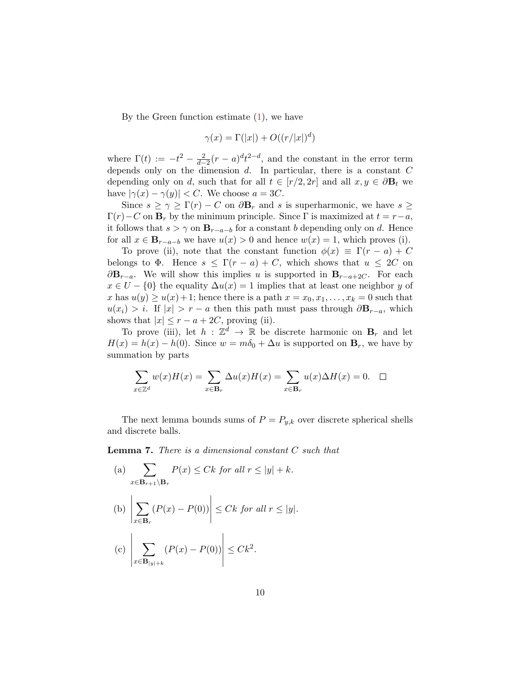By the Green function estimate  $(1)$ , we have

$$
\gamma(x) = \Gamma(|x|) + O((r/|x|)^d)
$$

where  $\Gamma(t) := -t^2 - \frac{2}{d-2}(r-a)^dt^{2-d}$ , and the constant in the error term depends only on the dimension  $d$ . In particular, there is a constant  $C$ depending only on d, such that for all  $t \in [r/2, 2r]$  and all  $x, y \in \partial \mathbf{B}_t$  we have  $|\gamma(x) - \gamma(y)| < C$ . We choose  $a = 3C$ .

Since  $s \geq \gamma \geq \Gamma(r) - C$  on  $\partial \mathbf{B}_r$  and s is superharmonic, we have  $s \geq$  $\Gamma(r)-C$  on  $\mathbf{B}_r$  by the minimum principle. Since  $\Gamma$  is maximized at  $t=r-a$ , it follows that  $s > \gamma$  on  $\mathbf{B}_{r-a-b}$  for a constant b depending only on d. Hence for all  $x \in \mathbf{B}_{r-a-b}$  we have  $u(x) > 0$  and hence  $w(x) = 1$ , which proves (i).

To prove (ii), note that the constant function  $\phi(x) \equiv \Gamma(r-a) + C$ belongs to  $\Phi$ . Hence  $s \leq \Gamma(r-a) + C$ , which shows that  $u \leq 2C$  on  $\partial \mathbf{B}_{r-a}$ . We will show this implies u is supported in  $\mathbf{B}_{r-a+2C}$ . For each  $x \in U - \{0\}$  the equality  $\Delta u(x) = 1$  implies that at least one neighbor y of x has  $u(y) \ge u(x) + 1$ ; hence there is a path  $x = x_0, x_1, \ldots, x_k = 0$  such that  $u(x_i) > i$ . If  $|x| > r - a$  then this path must pass through  $\partial \mathbf{B}_{r-a}$ , which shows that  $|x| \leq r - a + 2C$ , proving (ii).

To prove (iii), let  $h : \mathbb{Z}^d \to \mathbb{R}$  be discrete harmonic on  $\mathbf{B}_r$  and let  $H(x) = h(x) - h(0)$ . Since  $w = m\delta_0 + \Delta u$  is supported on  $\mathbf{B}_r$ , we have by summation by parts

$$
\sum_{x \in \mathbb{Z}^d} w(x)H(x) = \sum_{x \in \mathbf{B}_r} \Delta u(x)H(x) = \sum_{x \in \mathbf{B}_r} u(x)\Delta H(x) = 0. \quad \Box
$$

The next lemma bounds sums of  $P = P_{y,k}$  over discrete spherical shells and discrete balls.

<span id="page-9-0"></span>Lemma 7. There is a dimensional constant C such that

 $\overline{\phantom{a}}$  $\overline{\phantom{a}}$ 

(a) 
$$
\sum_{x \in \mathbf{B}_{r+1} \setminus \mathbf{B}_r} P(x) \leq Ck \text{ for all } r \leq |y| + k.
$$
  
\n(b) 
$$
\left| \sum_{x \in \mathbf{B}_r} (P(x) - P(0)) \right| \leq Ck \text{ for all } r \leq |y|.
$$
  
\n(c) 
$$
\left| \sum_{x \in \mathbf{B}_{|y|+k}} (P(x) - P(0)) \right| \leq Ck^2.
$$

 $x \in \mathbf{B}_{|y|+k}$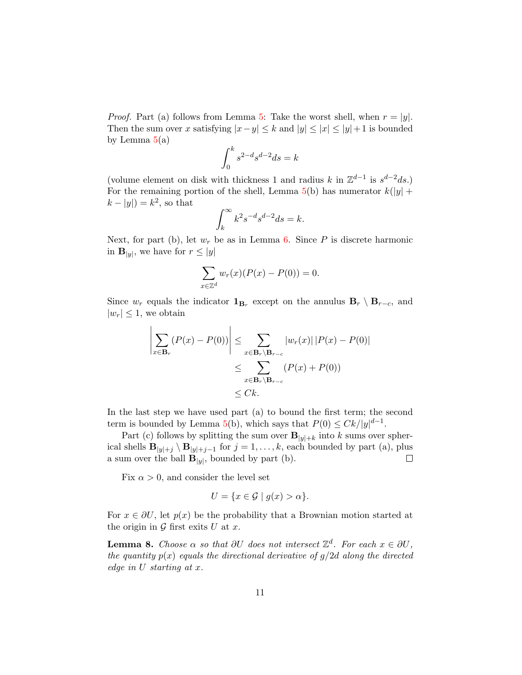*Proof.* Part (a) follows from Lemma [5:](#page-6-2) Take the worst shell, when  $r = |y|$ . Then the sum over x satisfying  $|x-y| \leq k$  and  $|y| \leq |x| \leq |y| + 1$  is bounded by Lemma  $5(a)$  $5(a)$ 

$$
\int_0^k s^{2-d} s^{d-2} ds = k
$$

(volume element on disk with thickness 1 and radius k in  $\mathbb{Z}^{d-1}$  is  $s^{d-2}ds$ .) For the remaining portion of the shell, Lemma  $5(b)$  $5(b)$  has numerator  $k(|y| +$  $k - |y|$  =  $k^2$ , so that

$$
\int_{k}^{\infty} k^2 s^{-d} s^{d-2} ds = k.
$$

Next, for part (b), let  $w_r$  be as in Lemma [6.](#page-7-0) Since P is discrete harmonic in  $\mathbf{B}_{|y|}$ , we have for  $r \leq |y|$ 

$$
\sum_{x \in \mathbb{Z}^d} w_r(x) (P(x) - P(0)) = 0.
$$

Since  $w_r$  equals the indicator  $\mathbf{1}_{\mathbf{B}_r}$  except on the annulus  $\mathbf{B}_r \setminus \mathbf{B}_{r-c}$ , and  $|w_r| \leq 1$ , we obtain

$$
\left| \sum_{x \in \mathbf{B}_r} (P(x) - P(0)) \right| \leq \sum_{x \in \mathbf{B}_r \backslash \mathbf{B}_{r-c}} |w_r(x)| |P(x) - P(0)|
$$
  

$$
\leq \sum_{x \in \mathbf{B}_r \backslash \mathbf{B}_{r-c}} (P(x) + P(0))
$$
  

$$
\leq Ck.
$$

In the last step we have used part (a) to bound the first term; the second term is bounded by Lemma [5\(](#page-6-2)b), which says that  $P(0) \leq Ck/|y|^{d-1}$ .

Part (c) follows by splitting the sum over  $\mathbf{B}_{|y|+k}$  into k sums over spherical shells  $\mathbf{B}_{|y|+j} \setminus \mathbf{B}_{|y|+j-1}$  for  $j = 1, \ldots, k$ , each bounded by part (a), plus a sum over the ball  $\mathbf{B}_{|y|}$ , bounded by part (b).  $\Box$ 

Fix  $\alpha > 0$ , and consider the level set

$$
U = \{ x \in \mathcal{G} \mid g(x) > \alpha \}.
$$

For  $x \in \partial U$ , let  $p(x)$  be the probability that a Brownian motion started at the origin in  $\mathcal G$  first exits  $U$  at  $x$ .

<span id="page-10-0"></span>**Lemma 8.** Choose  $\alpha$  so that  $\partial U$  does not intersect  $\mathbb{Z}^d$ . For each  $x \in \partial U$ , the quantity  $p(x)$  equals the directional derivative of  $g/2d$  along the directed edge in U starting at x.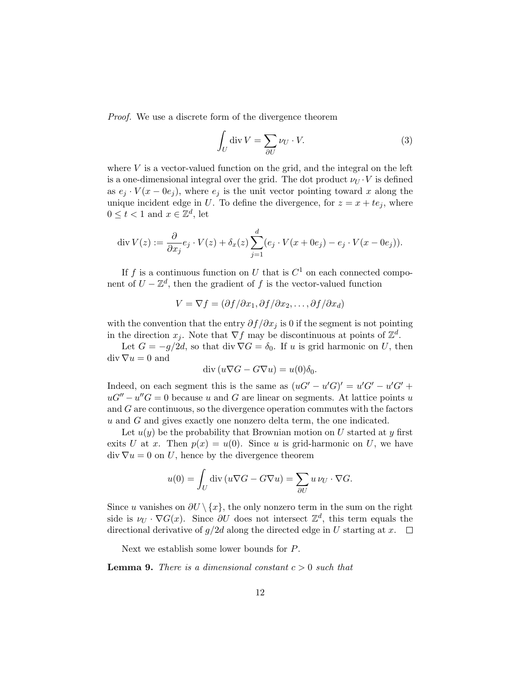Proof. We use a discrete form of the divergence theorem

$$
\int_{U} \operatorname{div} V = \sum_{\partial U} \nu_{U} \cdot V. \tag{3}
$$

where  $V$  is a vector-valued function on the grid, and the integral on the left is a one-dimensional integral over the grid. The dot product  $\nu_U \cdot V$  is defined as  $e_j \cdot V(x - 0e_j)$ , where  $e_j$  is the unit vector pointing toward x along the unique incident edge in U. To define the divergence, for  $z = x + te_j$ , where  $0 \leq t < 1$  and  $x \in \mathbb{Z}^d$ , let

$$
\operatorname{div} V(z) := \frac{\partial}{\partial x_j} e_j \cdot V(z) + \delta_x(z) \sum_{j=1}^d (e_j \cdot V(x + 0e_j) - e_j \cdot V(x - 0e_j)).
$$

If f is a continuous function on U that is  $C^1$  on each connected component of  $U - \mathbb{Z}^d$ , then the gradient of f is the vector-valued function

$$
V = \nabla f = (\partial f / \partial x_1, \partial f / \partial x_2, \dots, \partial f / \partial x_d)
$$

with the convention that the entry  $\partial f/\partial x_i$  is 0 if the segment is not pointing in the direction  $x_j$ . Note that  $\nabla f$  may be discontinuous at points of  $\mathbb{Z}^d$ .

Let  $G = -g/2d$ , so that div  $\nabla G = \delta_0$ . If u is grid harmonic on U, then  $\mathrm{div}\,\nabla u=0$  and

$$
\operatorname{div}\left(u\nabla G - G\nabla u\right) = u(0)\delta_0.
$$

Indeed, on each segment this is the same as  $(uG' - u'G)' = u'G' - u'G' +$  $uG'' - u''G = 0$  because u and G are linear on segments. At lattice points u and G are continuous, so the divergence operation commutes with the factors  $u$  and  $G$  and gives exactly one nonzero delta term, the one indicated.

Let  $u(y)$  be the probability that Brownian motion on U started at y first exits U at x. Then  $p(x) = u(0)$ . Since u is grid-harmonic on U, we have  $\text{div } \nabla u = 0$  on U, hence by the divergence theorem

$$
u(0) = \int_U \operatorname{div} (u \nabla G - G \nabla u) = \sum_{\partial U} u \nu_U \cdot \nabla G.
$$

Since u vanishes on  $\partial U \setminus \{x\}$ , the only nonzero term in the sum on the right side is  $\nu_U \cdot \nabla G(x)$ . Since  $\partial U$  does not intersect  $\mathbb{Z}^d$ , this term equals the directional derivative of  $g/2d$  along the directed edge in U starting at  $x$ .  $\Box$ 

Next we establish some lower bounds for P.

<span id="page-11-0"></span>**Lemma 9.** There is a dimensional constant  $c > 0$  such that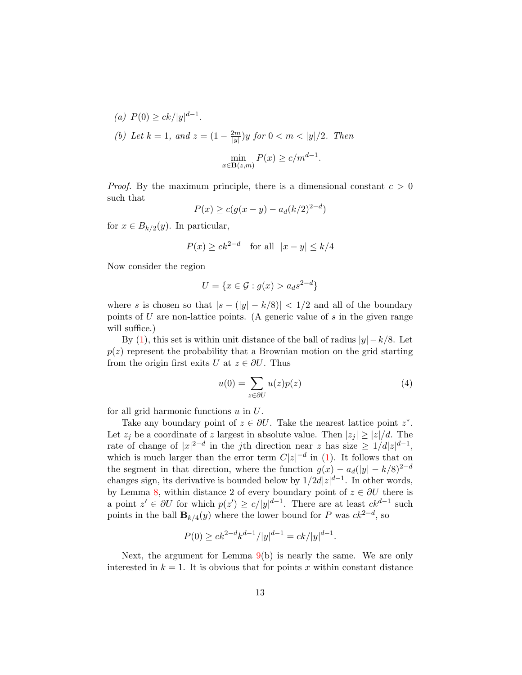(a) 
$$
P(0) \ge ck/|y|^{d-1}
$$
.  
\n(b) Let  $k = 1$ , and  $z = (1 - \frac{2m}{|y|})y$  for  $0 < m < |y|/2$ . Then  
\n
$$
\min_{x \in \mathbf{B}(z,m)} P(x) \ge c/m^{d-1}.
$$

*Proof.* By the maximum principle, there is a dimensional constant  $c > 0$ such that

$$
P(x) \ge c(g(x - y) - a_d(k/2)^{2-d})
$$

for  $x \in B_{k/2}(y)$ . In particular,

$$
P(x) \ge ck^{2-d} \quad \text{for all} \ \ |x - y| \le k/4
$$

Now consider the region

$$
U = \{x \in \mathcal{G} : g(x) > a_d s^{2-d}\}
$$

where s is chosen so that  $|s - (|y| - k/8)| < 1/2$  and all of the boundary points of U are non-lattice points. (A generic value of  $s$  in the given range will suffice.)

By [\(1\)](#page-6-0), this set is within unit distance of the ball of radius  $|y| - k/8$ . Let  $p(z)$  represent the probability that a Brownian motion on the grid starting from the origin first exits U at  $z \in \partial U$ . Thus

$$
u(0) = \sum_{z \in \partial U} u(z)p(z) \tag{4}
$$

for all grid harmonic functions  $u$  in  $U$ .

Take any boundary point of  $z \in \partial U$ . Take the nearest lattice point  $z^*$ . Let  $z_j$  be a coordinate of z largest in absolute value. Then  $|z_j| \geq |z|/d$ . The rate of change of  $|x|^{2-d}$  in the jth direction near z has size  $\geq 1/d|z|^{d-1}$ , which is much larger than the error term  $C|z|^{-d}$  in [\(1\)](#page-6-0). It follows that on the segment in that direction, where the function  $g(x) - a_d(|y| - k/8)^{2-d}$ changes sign, its derivative is bounded below by  $1/2d|z|^{d-1}$ . In other words, by Lemma [8,](#page-10-0) within distance 2 of every boundary point of  $z \in \partial U$  there is a point  $z' \in \partial U$  for which  $p(z') \geq c/|y|^{d-1}$ . There are at least  $ck^{d-1}$  such points in the ball  $\mathbf{B}_{k/4}(y)$  where the lower bound for P was  $ck^{2-d}$ , so

$$
P(0) \ge ck^{2-d}k^{d-1}/|y|^{d-1} = ck/|y|^{d-1}.
$$

Next, the argument for Lemma  $9(b)$  $9(b)$  is nearly the same. We are only interested in  $k = 1$ . It is obvious that for points x within constant distance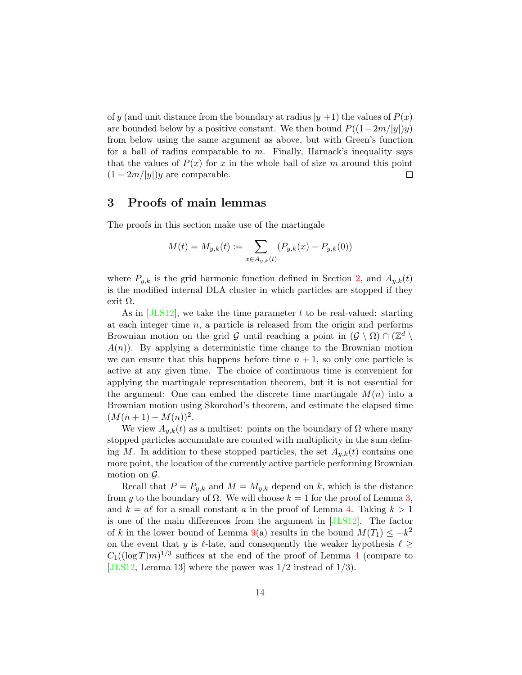of y (and unit distance from the boundary at radius  $|y|+1$ ) the values of  $P(x)$ are bounded below by a positive constant. We then bound  $P((1-2m/|y|)y)$ from below using the same argument as above, but with Green's function for a ball of radius comparable to  $m$ . Finally, Harnack's inequality says that the values of  $P(x)$  for x in the whole ball of size m around this point  $(1-2m/|y|)y$  are comparable.  $\Box$ 

### <span id="page-13-0"></span>3 Proofs of main lemmas

The proofs in this section make use of the martingale

$$
M(t) = M_{y,k}(t) := \sum_{x \in A_{y,k}(t)} (P_{y,k}(x) - P_{y,k}(0))
$$

where  $P_{y,k}$  is the grid harmonic function defined in Section [2,](#page-5-0) and  $A_{y,k}(t)$ is the modified internal DLA cluster in which particles are stopped if they exit  $Ω$ .

As in  $[JLS12]$ , we take the time parameter t to be real-valued: starting at each integer time  $n$ , a particle is released from the origin and performs Brownian motion on the grid G until reaching a point in  $(\mathcal{G} \setminus \Omega) \cap (\mathbb{Z}^d \setminus \Omega)$  $A(n)$ ). By applying a deterministic time change to the Brownian motion we can ensure that this happens before time  $n + 1$ , so only one particle is active at any given time. The choice of continuous time is convenient for applying the martingale representation theorem, but it is not essential for the argument: One can embed the discrete time martingale  $M(n)$  into a Brownian motion using Skorohod's theorem, and estimate the elapsed time  $(M(n+1) - M(n))^{2}$ .

We view  $A_{y,k}(t)$  as a multiset: points on the boundary of  $\Omega$  where many stopped particles accumulate are counted with multiplicity in the sum defining M. In addition to these stopped particles, the set  $A_{u,k}(t)$  contains one more point, the location of the currently active particle performing Brownian motion on  $\mathcal{G}$ .

Recall that  $P = P_{y,k}$  and  $M = M_{y,k}$  depend on k, which is the distance from y to the boundary of  $\Omega$ . We will choose  $k = 1$  for the proof of Lemma [3,](#page-4-0) and  $k = a\ell$  for a small constant a in the proof of Lemma [4.](#page-4-1) Taking  $k > 1$ is one of the main differences from the argument in [\[JLS12\]](#page-18-0). The factor of k in the lower bound of Lemma [9\(](#page-11-0)a) results in the bound  $M(T_1) \leq -k^2$ on the event that y is  $\ell$ -late, and consequently the weaker hypothesis  $\ell \geq$  $C_1((\log T)m)^{1/3}$  suffices at the end of the proof of Lemma [4](#page-4-1) (compare to [\[JLS12,](#page-18-0) Lemma 13] where the power was  $1/2$  instead of  $1/3$ ).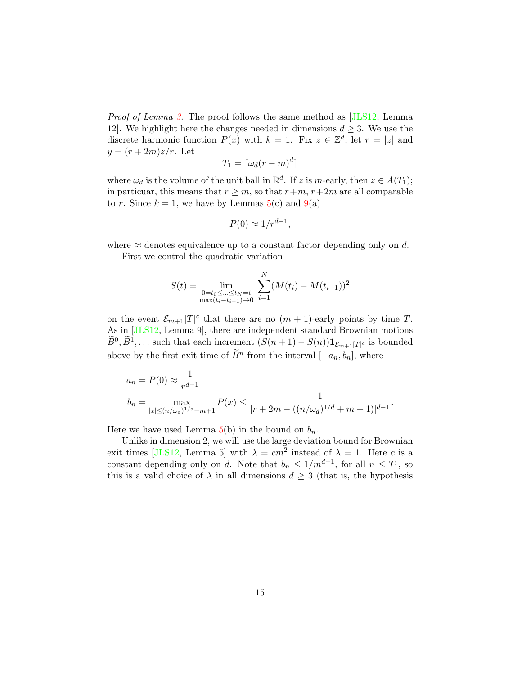Proof of Lemma [3.](#page-4-0) The proof follows the same method as [\[JLS12,](#page-18-0) Lemma 12. We highlight here the changes needed in dimensions  $d \geq 3$ . We use the discrete harmonic function  $P(x)$  with  $k = 1$ . Fix  $z \in \mathbb{Z}^d$ , let  $r = |z|$  and  $y=(r+2m)z/r$ . Let

$$
T_1 = \lceil \omega_d (r - m)^d \rceil
$$

where  $\omega_d$  is the volume of the unit ball in  $\mathbb{R}^d$ . If z is m-early, then  $z \in A(T_1)$ ; in particuar, this means that  $r \geq m$ , so that  $r+m$ ,  $r+2m$  are all comparable to r. Since  $k = 1$ , we have by Lemmas  $5(c)$  $5(c)$  and  $9(a)$  $9(a)$ 

$$
P(0) \approx 1/r^{d-1},
$$

where  $\approx$  denotes equivalence up to a constant factor depending only on d.

First we control the quadratic variation

$$
S(t) = \lim_{\substack{0 = t_0 \leq ... \leq t_N = t \\ \max(t_i - t_{i-1}) \to 0}} \sum_{i=1}^N (M(t_i) - M(t_{i-1}))^2
$$

on the event  $\mathcal{E}_{m+1}[T]^c$  that there are no  $(m+1)$ -early points by time T. As in [\[JLS12,](#page-18-0) Lemma 9], there are independent standard Brownian motions  $\widetilde{B}^0, \widetilde{B}^1, \ldots$  such that each increment  $(S(n+1) - S(n)) \mathbf{1}_{\mathcal{E}_{m+1}[T]^c}$  is bounded above by the first exit time of  $\widetilde{B}^n$  from the interval  $[-a_n, b_n]$ , where

$$
a_n = P(0) \approx \frac{1}{r^{d-1}}
$$
  
\n
$$
b_n = \max_{|x| \le (n/\omega_d)^{1/d} + m + 1} P(x) \le \frac{1}{[r + 2m - ((n/\omega_d)^{1/d} + m + 1)]^{d-1}}.
$$

Here we have used Lemma  $5(b)$  $5(b)$  in the bound on  $b_n$ .

Unlike in dimension 2, we will use the large deviation bound for Brownian exit times [\[JLS12,](#page-18-0) Lemma 5] with  $\lambda = cm^2$  instead of  $\lambda = 1$ . Here c is a constant depending only on d. Note that  $b_n \leq 1/m^{d-1}$ , for all  $n \leq T_1$ , so this is a valid choice of  $\lambda$  in all dimensions  $d \geq 3$  (that is, the hypothesis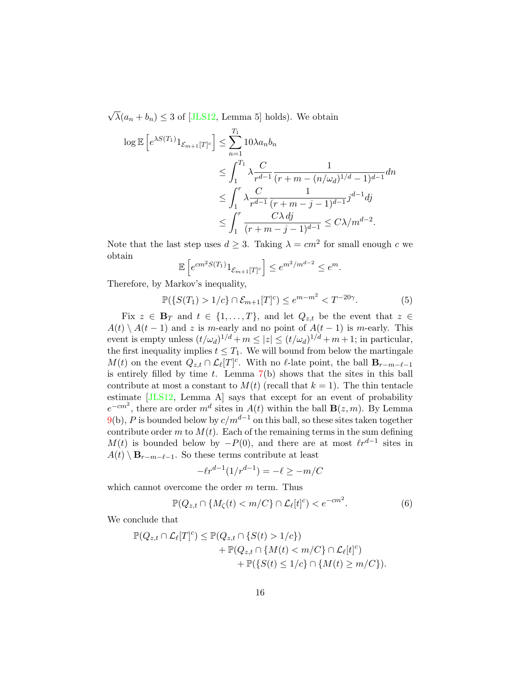√  $\lambda(a_n + b_n) \leq 3$  of [\[JLS12,](#page-18-0) Lemma 5] holds). We obtain

$$
\log \mathbb{E} \left[ e^{\lambda S(T_1)} \mathbf{1}_{\mathcal{E}_{m+1}[T]^c} \right] \leq \sum_{n=1}^{T_1} 10\lambda a_n b_n
$$
  
\n
$$
\leq \int_1^{T_1} \lambda \frac{C}{r^{d-1}} \frac{1}{(r+m-(n/\omega_d)^{1/d}-1)^{d-1}} dn
$$
  
\n
$$
\leq \int_1^r \lambda \frac{C}{r^{d-1}} \frac{1}{(r+m-j-1)^{d-1}} j^{d-1} dj
$$
  
\n
$$
\leq \int_1^r \frac{C\lambda dj}{(r+m-j-1)^{d-1}} \leq C\lambda/m^{d-2}.
$$

Note that the last step uses  $d \geq 3$ . Taking  $\lambda = cm^2$  for small enough c we obtain

$$
\mathbb{E}\left[e^{cm^2S(T_1)}1_{\mathcal{E}_{m+1}[T]^c}\right] \leq e^{m^2/m^{d-2}} \leq e^m.
$$

Therefore, by Markov's inequality,

<span id="page-15-0"></span>
$$
\mathbb{P}(\{S(T_1) > 1/c\} \cap \mathcal{E}_{m+1}[T]^c) \le e^{m-m^2} < T^{-20\gamma}.\tag{5}
$$

Fix  $z \in \mathbf{B}_T$  and  $t \in \{1, ..., T\}$ , and let  $Q_{z,t}$  be the event that  $z \in$  $A(t) \setminus A(t-1)$  and z is m-early and no point of  $A(t-1)$  is m-early. This event is empty unless  $(t/\omega_d)^{1/d} + m \leq |z| \leq (t/\omega_d)^{1/d} + m + 1$ ; in particular, the first inequality implies  $t \leq T_1$ . We will bound from below the martingale  $M(t)$  on the event  $Q_{z,t} \cap \mathcal{L}_{\ell}[T]^c$ . With no  $\ell$ -late point, the ball  $\mathbf{B}_{r-m-\ell-1}$ is entirely filled by time  $t$ . Lemma  $7(b)$  $7(b)$  shows that the sites in this ball contribute at most a constant to  $M(t)$  (recall that  $k = 1$ ). The thin tentacle estimate [\[JLS12,](#page-18-0) Lemma A] says that except for an event of probability  $e^{-cm^2}$ , there are order  $m^d$  sites in  $A(t)$  within the ball  $\mathbf{B}(z,m)$ . By Lemma [9\(](#page-11-0)b), P is bounded below by  $c/m^{d-1}$  on this ball, so these sites taken together contribute order m to  $M(t)$ . Each of the remaining terms in the sum defining  $M(t)$  is bounded below by  $-P(0)$ , and there are at most  $\ell r^{d-1}$  sites in  $A(t) \setminus \mathbf{B}_{r-m-\ell-1}$ . So these terms contribute at least

<span id="page-15-1"></span>
$$
-\ell r^{d-1} (1/r^{d-1}) = -\ell \ge -m/C
$$

which cannot overcome the order m term. Thus

$$
\mathbb{P}(Q_{z,t} \cap \{M_\zeta(t) < m/C\} \cap \mathcal{L}_\ell[t]^c) < e^{-cm^2}.\tag{6}
$$

We conclude that

$$
\mathbb{P}(Q_{z,t} \cap \mathcal{L}_{\ell}[T]^c) \leq \mathbb{P}(Q_{z,t} \cap \{S(t) > 1/c\})
$$
  
+ 
$$
\mathbb{P}(Q_{z,t} \cap \{M(t) < m/C\} \cap \mathcal{L}_{\ell}[t]^c)
$$
  
+ 
$$
\mathbb{P}(\{S(t) \leq 1/c\} \cap \{M(t) \geq m/C\}).
$$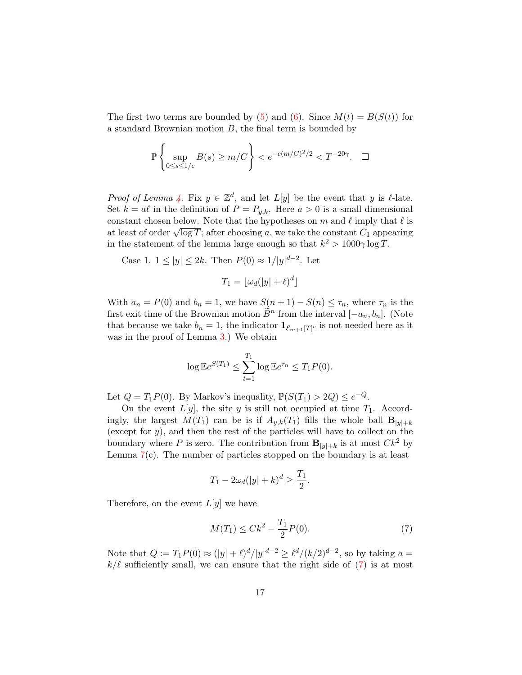The first two terms are bounded by [\(5\)](#page-15-0) and [\(6\)](#page-15-1). Since  $M(t) = B(S(t))$  for a standard Brownian motion  $B$ , the final term is bounded by

$$
\mathbb{P}\left\{\sup_{0\leq s\leq 1/c}B(s)\geq m/C\right\}
$$

*Proof of Lemma [4.](#page-4-1)* Fix  $y \in \mathbb{Z}^d$ , and let  $L[y]$  be the event that y is  $\ell$ -late. Set  $k = a\ell$  in the definition of  $P = P_{y,k}$ . Here  $a > 0$  is a small dimensional constant chosen below. Note that the hypotheses on m and  $\ell$  imply that  $\ell$  is constant chosen below. Note that the hypotheses on m and  $\ell$  imply that  $\ell$  is<br>at least of order  $\sqrt{\log T}$ ; after choosing a, we take the constant  $C_1$  appearing in the statement of the lemma large enough so that  $k^2 > 1000\gamma \log T$ .

Case 1.  $1 \le |y| \le 2k$ . Then  $P(0) \approx 1/|y|^{d-2}$ . Let

$$
T_1 = \lfloor \omega_d(|y| + \ell)^d \rfloor
$$

With  $a_n = P(0)$  and  $b_n = 1$ , we have  $S(n+1) - S(n) \leq \tau_n$ , where  $\tau_n$  is the first exit time of the Brownian motion  $\tilde{B}^n$  from the interval  $[-a_n, b_n]$ . (Note that because we take  $b_n = 1$ , the indicator  $\mathbf{1}_{\mathcal{E}_{m+1}[T]^c}$  is not needed here as it was in the proof of Lemma [3.](#page-4-0)) We obtain

$$
\log \mathbb{E}e^{S(T_1)} \leq \sum_{t=1}^{T_1} \log \mathbb{E}e^{\tau_n} \leq T_1 P(0).
$$

Let  $Q = T_1 P(0)$ . By Markov's inequality,  $\mathbb{P}(S(T_1) > 2Q) \leq e^{-Q}$ .

On the event  $L[y]$ , the site y is still not occupied at time  $T_1$ . Accordingly, the largest  $M(T_1)$  can be is if  $A_{y,k}(T_1)$  fills the whole ball  $\mathbf{B}_{|y|+k}$ (except for  $y$ ), and then the rest of the particles will have to collect on the boundary where P is zero. The contribution from  $\mathbf{B}_{|y|+k}$  is at most  $Ck^2$  by Lemma  $7(c)$  $7(c)$ . The number of particles stopped on the boundary is at least

$$
T_1 - 2\omega_d(|y| + k)^d \ge \frac{T_1}{2}.
$$

Therefore, on the event  $L[y]$  we have

<span id="page-16-0"></span>
$$
M(T_1) \leq Ck^2 - \frac{T_1}{2}P(0). \tag{7}
$$

Note that  $Q := T_1 P(0) \approx (|y| + \ell)^d / |y|^{d-2} \ge \ell^d / (k/2)^{d-2}$ , so by taking  $a =$  $k/\ell$  sufficiently small, we can ensure that the right side of [\(7\)](#page-16-0) is at most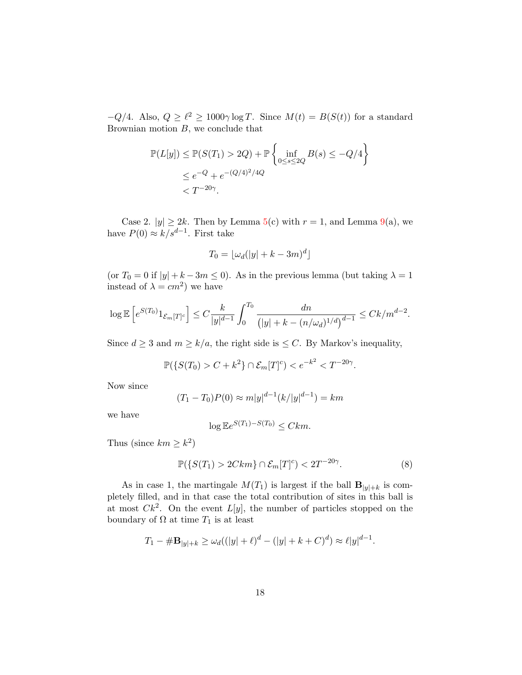$-Q/4$ . Also,  $Q \geq \ell^2 \geq 1000\gamma \log T$ . Since  $M(t) = B(S(t))$  for a standard Brownian motion  $B$ , we conclude that

$$
\mathbb{P}(L[y]) \le \mathbb{P}(S(T_1) > 2Q) + \mathbb{P}\left\{\inf_{0 \le s \le 2Q} B(s) \le -Q/4\right\}
$$
  

$$
\le e^{-Q} + e^{-(Q/4)^2/4Q}
$$
  

$$
< T^{-20\gamma}.
$$

Case 2.  $|y| \geq 2k$ . Then by Lemma [5\(](#page-6-2)c) with  $r = 1$ , and Lemma [9\(](#page-11-0)a), we have  $P(0) \approx k/s^{d-1}$ . First take

$$
T_0 = \lfloor \omega_d(|y| + k - 3m)^d \rfloor
$$

(or  $T_0 = 0$  if  $|y| + k - 3m \le 0$ ). As in the previous lemma (but taking  $\lambda = 1$ ) instead of  $\lambda = cm^2$ ) we have

$$
\log \mathbb{E}\left[e^{S(T_0)}1_{\mathcal{E}_m[T]^c}\right] \leq C \frac{k}{|y|^{d-1}} \int_0^{T_0} \frac{dn}{\left(|y| + k - (n/\omega_d)^{1/d}\right)^{d-1}} \leq Ck/m^{d-2}.
$$

Since  $d \geq 3$  and  $m \geq k/a$ , the right side is  $\leq C$ . By Markov's inequality,

$$
\mathbb{P}(\{S(T_0) > C + k^2\} \cap \mathcal{E}_m[T]^c) < e^{-k^2} < T^{-20\gamma}.
$$

Now since

$$
(T_1 - T_0)P(0) \approx m|y|^{d-1}(k/|y|^{d-1}) = km
$$

we have

$$
\log \mathbb{E}e^{S(T_1) - S(T_0)} \leq Ckm.
$$

Thus (since  $km \geq k^2$ )

<span id="page-17-0"></span>
$$
\mathbb{P}(\{S(T_1) > 2Ckm\} \cap \mathcal{E}_m[T]^c) < 2T^{-20\gamma}.\tag{8}
$$

As in case 1, the martingale  $M(T_1)$  is largest if the ball  $\mathbf{B}_{|y|+k}$  is completely filled, and in that case the total contribution of sites in this ball is at most  $Ck^2$ . On the event  $L[y]$ , the number of particles stopped on the boundary of  $\Omega$  at time  $T_1$  is at least

$$
T_1 - \# \mathbf{B}_{|y|+k} \ge \omega_d ((|y| + \ell)^d - (|y| + k + C)^d) \approx \ell |y|^{d-1}.
$$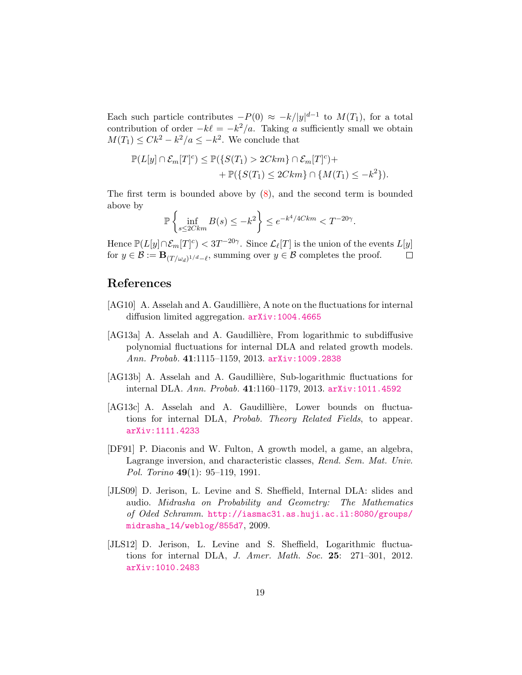Each such particle contributes  $-P(0) \approx -k/|y|^{d-1}$  to  $M(T_1)$ , for a total contribution of order  $-k\ell = -k^2/a$ . Taking a sufficiently small we obtain  $M(T_1) \leq Ck^2 - k^2/a \leq -k^2$ . We conclude that

$$
\mathbb{P}(L[y] \cap \mathcal{E}_m[T]^c) \leq \mathbb{P}(\{S(T_1) > 2Ckm\} \cap \mathcal{E}_m[T]^c) +
$$
  
+ 
$$
\mathbb{P}(\{S(T_1) \leq 2Ckm\} \cap \{M(T_1) \leq -k^2\}).
$$

The first term is bounded above by  $(8)$ , and the second term is bounded above by

$$
\mathbb{P}\left\{\inf_{s\leq 2Ckm}B(s)\leq -k^2\right\}\leq e^{-k^4/4Ckm}
$$

Hence  $\mathbb{P}(L[y] \cap \mathcal{E}_m[T]^c) < 3T^{-20\gamma}$ . Since  $\mathcal{L}_{\ell}[T]$  is the union of the events  $L[y]$ for  $y \in \mathcal{B} := \mathbf{B}_{(T/\omega_d)^{1/d} - \ell}$ , summing over  $y \in \mathcal{B}$  completes the proof.  $\Box$ 

## References

- <span id="page-18-4"></span>[AG10] A. Asselah and A. Gaudillière, A note on the fluctuations for internal diffusion limited aggregation. [arXiv:1004.4665](http://arxiv.org/abs/1004.4665)
- <span id="page-18-5"></span>[AG13a] A. Asselah and A. Gaudillière, From logarithmic to subdiffusive polynomial fluctuations for internal DLA and related growth models. Ann. Probab. 41:1115–1159, 2013. [arXiv:1009.2838](http://arxiv.org/abs/1009.2838)
- <span id="page-18-6"></span>[AG13b] A. Asselah and A. Gaudillière, Sub-logarithmic fluctuations for internal DLA. Ann. Probab. 41:1160–1179, 2013. [arXiv:1011.4592](http://arxiv.org/abs/1011.4592)
- <span id="page-18-2"></span>[AG13c] A. Asselah and A. Gaudillière, Lower bounds on fluctuations for internal DLA, Probab. Theory Related Fields, to appear. [arXiv:1111.4233](http://arxiv.org/abs/1111.4233)
- <span id="page-18-3"></span>[DF91] P. Diaconis and W. Fulton, A growth model, a game, an algebra, Lagrange inversion, and characteristic classes, Rend. Sem. Mat. Univ. Pol. Torino 49(1): 95–119, 1991.
- <span id="page-18-1"></span>[JLS09] D. Jerison, L. Levine and S. Sheffield, Internal DLA: slides and audio. Midrasha on Probability and Geometry: The Mathematics of Oded Schramm. [http://iasmac31.as.huji.ac.il:8080/groups/](http://iasmac31.as.huji.ac.il:8080/groups/midrasha_14/weblog/855d7) [midrasha\\_14/weblog/855d7](http://iasmac31.as.huji.ac.il:8080/groups/midrasha_14/weblog/855d7), 2009.
- <span id="page-18-0"></span>[JLS12] D. Jerison, L. Levine and S. Sheffield, Logarithmic fluctuations for internal DLA, *J. Amer. Math. Soc.* 25: 271-301, 2012. [arXiv:1010.2483](http://arxiv.org/abs/1010.2483)